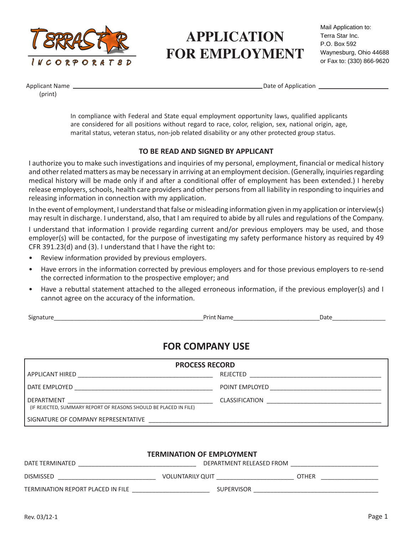

# **APPLICATION FOR EMPLOYMENT**

Applicant Name (print)

Date of Application

In compliance with Federal and State equal employment opportunity laws, qualified applicants are considered for all positions without regard to race, color, religion, sex, national origin, age, marital status, veteran status, non-job related disability or any other protected group status.

### TO BE READ AND SIGNED BY APPLICANT

I authorize you to make such investigations and inquiries of my personal, employment, financial or medical history and other related matters as may be necessary in arriving at an employment decision. (Generally, inquiries regarding medical history will be made only if and after a conditional offer of employment has been extended.) I hereby release employers, schools, health care providers and other persons from all liability in responding to inquiries and releasing information in connection with my application.

In the event of employment, I understand that false or misleading information given in my application or interview(s) may result in discharge. I understand, also, that I am required to abide by all rules and regulations of the Company.

I understand that information I provide regarding current and/or previous employers may be used, and those employer(s) will be contacted, for the purpose of investigating my safety performance history as required by 49 CFR 391.23(d) and (3). I understand that I have the right to:

- Review information provided by previous employers.
- Have errors in the information corrected by previous employers and for those previous employers to re-send the corrected information to the prospective employer; and
- Have a rebuttal statement attached to the alleged erroneous information, if the previous employer(s) and I cannot agree on the accuracy of the information.

Signature\_\_\_\_\_\_\_\_\_\_\_\_\_\_\_\_\_\_\_\_\_\_\_\_\_\_\_\_\_\_\_\_\_\_\_\_\_\_\_\_\_\_\_\_\_Print Name\_\_\_\_\_\_\_\_\_\_\_\_\_\_\_\_\_\_\_\_\_\_\_\_\_\_Date\_\_\_\_\_\_\_\_\_\_\_\_\_\_\_\_

### FOR COMPANY USE

| <b>PROCESS RECORD</b>                                                                  |                       |  |  |
|----------------------------------------------------------------------------------------|-----------------------|--|--|
| APPLICANT HIRED                                                                        | REJECTED              |  |  |
| DATE EMPLOYED                                                                          | POINT EMPLOYED        |  |  |
| <b>DEPARTMENT</b><br>(IF REJECTED, SUMMARY REPORT OF REASONS SHOULD BE PLACED IN FILE) | <b>CLASSIFICATION</b> |  |  |
| SIGNATURE OF COMPANY REPRESENTATIVE                                                    |                       |  |  |

#### TERMINATION OF EMPLOYMENT

| DATE TERMINATED                   | DEPARTMENT RELEASED FROM |              |  |  |  |
|-----------------------------------|--------------------------|--------------|--|--|--|
| <b>DISMISSED</b>                  | <b>VOLUNTARILY QUIT</b>  | <b>OTHER</b> |  |  |  |
| TERMINATION REPORT PLACED IN FILE | <b>SUPERVISOR</b>        |              |  |  |  |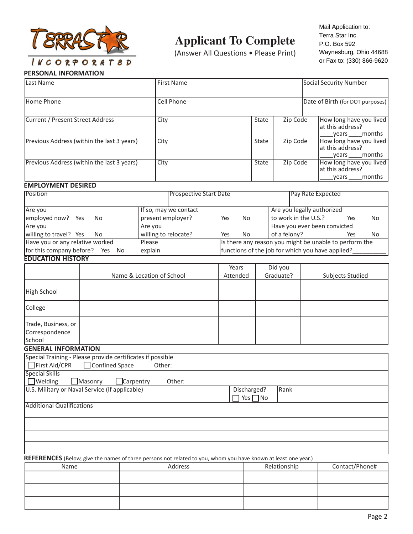

## **Applicant To Complete**

(Answer All Questions • Please Print)

Mail Application to: Mail Application to: Terra Star inc. Terra Star Inc. waynesburg, Ohio 44688 no Froco<br>Pee De20 or Fax to: (330) 866-9620 P.O. Box 592

### PERSONAL INFORMATION

| Last Name                                                                   |                   |  | <b>First Name</b>                                                                                              |              |                              |                            | Social Security Number                               |                                                        |        |
|-----------------------------------------------------------------------------|-------------------|--|----------------------------------------------------------------------------------------------------------------|--------------|------------------------------|----------------------------|------------------------------------------------------|--------------------------------------------------------|--------|
| Home Phone                                                                  |                   |  | <b>Cell Phone</b>                                                                                              |              |                              |                            | Date of Birth (for DOT purposes)                     |                                                        |        |
| <b>Current / Present Street Address</b>                                     |                   |  | City                                                                                                           |              | State                        | Zip Code                   |                                                      | How long have you lived<br>at this address?<br>years   | months |
| Previous Address (within the last 3 years)<br>City                          |                   |  |                                                                                                                | State        | Zip Code                     |                            | How long have you lived<br>at this address?<br>years | months                                                 |        |
| Previous Address (within the last 3 years)                                  |                   |  | City                                                                                                           | <b>State</b> |                              | Zip Code                   | How long have you lived<br>at this address?<br>years |                                                        | months |
| <b>EMPLOYMENT DESIRED</b>                                                   |                   |  |                                                                                                                |              |                              |                            |                                                      |                                                        |        |
| Position                                                                    |                   |  | <b>Prospective Start Date</b>                                                                                  |              |                              |                            |                                                      | Pay Rate Expected                                      |        |
| Are you                                                                     |                   |  | If so, may we contact                                                                                          |              |                              | Are you legally authorized |                                                      |                                                        |        |
| employed now?<br>Yes                                                        | N <sub>o</sub>    |  | present employer?                                                                                              | Yes          | No                           | to work in the U.S.?       |                                                      | Yes                                                    | No.    |
| Are you                                                                     |                   |  | Are you                                                                                                        |              |                              |                            |                                                      | Have you ever been convicted                           |        |
| willing to travel? Yes                                                      | No                |  | willing to relocate?                                                                                           | Yes          | No                           | of a felony?               |                                                      | Yes                                                    | No     |
| Have you or any relative worked                                             |                   |  | Please                                                                                                         |              |                              |                            |                                                      | Is there any reason you might be unable to perform the |        |
| for this company before? Yes No                                             |                   |  | explain                                                                                                        |              |                              |                            |                                                      | functions of the job for which you have applied?       |        |
| <b>EDUCATION HISTORY</b>                                                    |                   |  |                                                                                                                |              |                              |                            |                                                      |                                                        |        |
|                                                                             |                   |  |                                                                                                                | Years        |                              | Did you                    |                                                      |                                                        |        |
|                                                                             |                   |  | Name & Location of School                                                                                      | Attended     |                              | Graduate?                  |                                                      | Subjects Studied                                       |        |
| High School                                                                 |                   |  |                                                                                                                |              |                              |                            |                                                      |                                                        |        |
| College                                                                     |                   |  |                                                                                                                |              |                              |                            |                                                      |                                                        |        |
| Trade, Business, or<br>Correspondence<br>School                             |                   |  |                                                                                                                |              |                              |                            |                                                      |                                                        |        |
| <b>GENERAL INFORMATION</b>                                                  |                   |  |                                                                                                                |              |                              |                            |                                                      |                                                        |        |
| Special Training - Please provide certificates if possible<br>First Aid/CPR | □ Confined Space  |  | Other:                                                                                                         |              |                              |                            |                                                      |                                                        |        |
| <b>Special Skills</b>                                                       |                   |  |                                                                                                                |              |                              |                            |                                                      |                                                        |        |
| $\Box$ Welding                                                              | Masonry Carpentry |  | Other:                                                                                                         |              |                              |                            |                                                      |                                                        |        |
| U.S. Military or Naval Service (If applicable)                              |                   |  |                                                                                                                |              | Discharged?<br>Yes $\neg$ No | Rank                       |                                                      |                                                        |        |
| <b>Additional Qualifications</b>                                            |                   |  |                                                                                                                |              |                              |                            |                                                      |                                                        |        |
|                                                                             |                   |  |                                                                                                                |              |                              |                            |                                                      |                                                        |        |
|                                                                             |                   |  |                                                                                                                |              |                              |                            |                                                      |                                                        |        |
|                                                                             |                   |  |                                                                                                                |              |                              |                            |                                                      |                                                        |        |
|                                                                             |                   |  | REFERENCES (Below, give the names of three persons not related to you, whom you have known at least one year.) |              |                              |                            |                                                      |                                                        |        |
| Name                                                                        |                   |  | Address                                                                                                        |              |                              | Relationship               |                                                      | Contact/Phone#                                         |        |
|                                                                             |                   |  |                                                                                                                |              |                              |                            |                                                      |                                                        |        |
|                                                                             |                   |  |                                                                                                                |              |                              |                            |                                                      |                                                        |        |
|                                                                             |                   |  |                                                                                                                |              |                              |                            |                                                      |                                                        |        |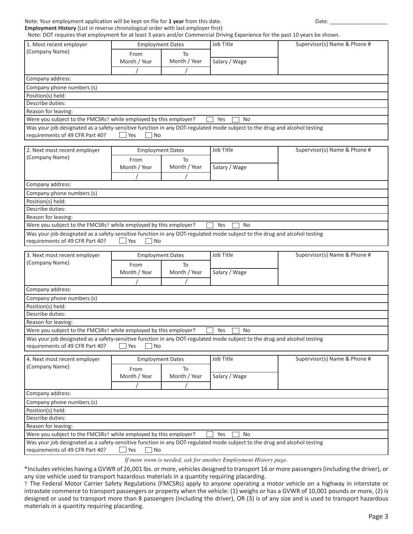# Employment History (List in reverse chronological order with last employer first)

| Note: Your employment application will be kept on file for 1 year from this date.<br>Employment History (List in reverse chronological order with last employer first) |                         |                         |               | Date:                        |  |
|------------------------------------------------------------------------------------------------------------------------------------------------------------------------|-------------------------|-------------------------|---------------|------------------------------|--|
| Note: DOT requires that employment for at least 3 years and/or Commercial Driving Experience for the past 10 years be shown.                                           |                         |                         |               |                              |  |
| 1. Most recent employer                                                                                                                                                | <b>Employment Dates</b> |                         | Job Title     | Supervisor(s) Name & Phone # |  |
| (Company Name)                                                                                                                                                         | From                    | To                      |               |                              |  |
|                                                                                                                                                                        | Month / Year            | Month / Year            | Salary / Wage |                              |  |
|                                                                                                                                                                        |                         |                         |               |                              |  |
| Company address:                                                                                                                                                       |                         |                         |               |                              |  |
| Company phone numbers (s)                                                                                                                                              |                         |                         |               |                              |  |
| Position(s) held:                                                                                                                                                      |                         |                         |               |                              |  |
| Describe duties:                                                                                                                                                       |                         |                         |               |                              |  |
| Reason for leaving:                                                                                                                                                    |                         |                         |               |                              |  |
| Were you subject to the FMCSRs <sup>+</sup> while employed by this employer?                                                                                           |                         |                         | Yes<br>No     |                              |  |
| Was your job designated as a safety-sensitive function in any DOT-regulated mode subject to the drug and alcohol testing<br>requirements of 49 CFR Part 40?            | No<br>Yes               |                         |               |                              |  |
| 2. Next most recent employer                                                                                                                                           |                         | <b>Employment Dates</b> | Job Title     | Supervisor(s) Name & Phone # |  |
| (Company Name)                                                                                                                                                         | From                    | To                      |               |                              |  |
|                                                                                                                                                                        | Month / Year            | Month / Year            | Salary / Wage |                              |  |
|                                                                                                                                                                        |                         |                         |               |                              |  |
| Company address:                                                                                                                                                       |                         |                         |               |                              |  |
| Company phone numbers (s)                                                                                                                                              |                         |                         |               |                              |  |
| Position(s) held:                                                                                                                                                      |                         |                         |               |                              |  |
| Describe duties:                                                                                                                                                       |                         |                         |               |                              |  |
| Reason for leaving:                                                                                                                                                    |                         |                         |               |                              |  |
| Were you subject to the FMCSRs <sup>+</sup> while employed by this employer?                                                                                           |                         |                         | Yes<br>No     |                              |  |
| Was your job designated as a safety-sensitive function in any DOT-regulated mode subject to the drug and alcohol testing<br>requirements of 49 CFR Part 40?            | <b>No</b><br>Yes        |                         |               |                              |  |
| 3. Next most recent employer                                                                                                                                           |                         | <b>Employment Dates</b> | Job Title     | Supervisor(s) Name & Phone # |  |
| (Company Name)                                                                                                                                                         | From                    | To                      |               |                              |  |
|                                                                                                                                                                        | Month / Year            | Month / Year            | Salary / Wage |                              |  |
|                                                                                                                                                                        |                         |                         |               |                              |  |
| Company address:                                                                                                                                                       |                         |                         |               |                              |  |
| Company phone numbers (s)                                                                                                                                              |                         |                         |               |                              |  |
| Position(s) held:                                                                                                                                                      |                         |                         |               |                              |  |
| Describe duties:                                                                                                                                                       |                         |                         |               |                              |  |
| Reason for leaving:                                                                                                                                                    |                         |                         |               |                              |  |
| Were you subject to the FMCSRs <sup>+</sup> while employed by this employer?                                                                                           |                         |                         | Yes<br>No     |                              |  |
| Was your job designated as a safety-sensitive function in any DOT-regulated mode subject to the drug and alcohol testing<br>requirements of 49 CFR Part 40?            | Yes<br>No               |                         |               |                              |  |
| 4. Next most recent employer                                                                                                                                           |                         | <b>Employment Dates</b> | Job Title     | Supervisor(s) Name & Phone # |  |
| (Company Name)                                                                                                                                                         |                         |                         |               |                              |  |
|                                                                                                                                                                        | From                    | To                      |               |                              |  |

|                                                                                                                                                             | Month / Year                              | Month / Year | Salary / Wage                                                   |  |
|-------------------------------------------------------------------------------------------------------------------------------------------------------------|-------------------------------------------|--------------|-----------------------------------------------------------------|--|
|                                                                                                                                                             |                                           |              |                                                                 |  |
| Company address:                                                                                                                                            |                                           |              |                                                                 |  |
| Company phone numbers (s)                                                                                                                                   |                                           |              |                                                                 |  |
| Position(s) held:                                                                                                                                           |                                           |              |                                                                 |  |
| Describe duties:                                                                                                                                            |                                           |              |                                                                 |  |
| Reason for leaving:                                                                                                                                         |                                           |              |                                                                 |  |
| Were you subject to the FMCSRs <sup>†</sup> while employed by this employer?                                                                                |                                           |              | Yes<br>No.                                                      |  |
| Was your job designated as a safety-sensitive function in any DOT-regulated mode subject to the drug and alcohol testing<br>requirements of 49 CFR Part 40? | $\overline{\phantom{a}}$ No<br><b>Yes</b> |              |                                                                 |  |
|                                                                                                                                                             |                                           |              | If more room is needed, ask for another Employment History nage |  |

*If more room is needed, ask for another Employment History page.*

\*Includes vehicles having a GVWR of 26,001 lbs. or more, vehicles designed to transport 16 or more passengers (including the driver), or any size vehicle used to transport hazardous materials in a quantity requiring placarding.

† The Federal Motor Carrier Safety Regulations (FMCSRs) apply to anyone operating a motor vehicle on a highway in interstate or intrastate commerce to transport passengers or property when the vehicle: (1) weighs or has a GVWR of 10,001 pounds or more, (2) is designed or used to transport more than 8 passengers (including the driver), OR (3) is of any size and is used to transport hazardous materials in a quantity requiring placarding.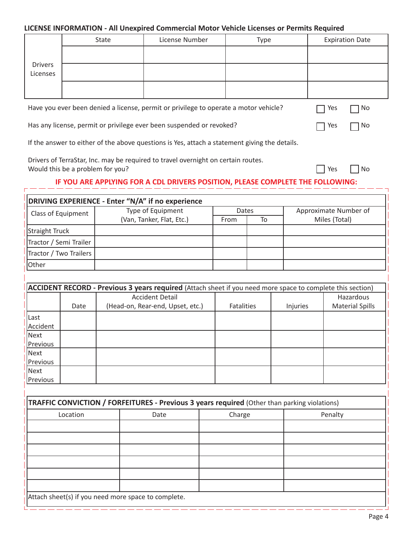### LICENSE INFORMATION - All Unexpired Commercial Motor Vehicle Licenses or Permits Required

|                                                                                                                                    | State                                                                                         | License Number | Type |     | <b>Expiration Date</b> |  |  |
|------------------------------------------------------------------------------------------------------------------------------------|-----------------------------------------------------------------------------------------------|----------------|------|-----|------------------------|--|--|
| <b>Drivers</b><br>Licenses                                                                                                         |                                                                                               |                |      |     |                        |  |  |
|                                                                                                                                    |                                                                                               |                |      |     |                        |  |  |
|                                                                                                                                    | Have you ever been denied a license, permit or privilege to operate a motor vehicle?          |                |      | Yes | No.                    |  |  |
| Has any license, permit or privilege ever been suspended or revoked?<br>No.<br>Yes                                                 |                                                                                               |                |      |     |                        |  |  |
|                                                                                                                                    | If the answer to either of the above questions is Yes, attach a statement giving the details. |                |      |     |                        |  |  |
| Drivers of TerraStar, Inc. may be required to travel overnight on certain routes.<br>Would this be a problem for you?<br>Yes<br>No |                                                                                               |                |      |     |                        |  |  |
|                                                                                                                                    | IF YOU ARE APPLYING FOR A CDL DRIVERS POSITION, PLEASE COMPLETE THE FOLLOWING:                |                |      |     |                        |  |  |
|                                                                                                                                    | DRIVING EXPERIENCE - Enter "N/A" if no experience                                             |                |      |     |                        |  |  |

| <b>PRIVIIVO EXPERIENCE - LIRCI IVA II NO EXPERIENCE</b> |                           |       |    |                       |  |  |  |
|---------------------------------------------------------|---------------------------|-------|----|-----------------------|--|--|--|
| Class of Equipment                                      | Type of Equipment         | Dates |    | Approximate Number of |  |  |  |
|                                                         | (Van, Tanker, Flat, Etc.) | From  | To | Miles (Total)         |  |  |  |
| Straight Truck                                          |                           |       |    |                       |  |  |  |
| Tractor / Semi Trailer                                  |                           |       |    |                       |  |  |  |
| Tractor / Two Trailers                                  |                           |       |    |                       |  |  |  |
| <b>lOther</b>                                           |                           |       |    |                       |  |  |  |

|          | <b>ACCIDENT RECORD - Previous 3 years required</b> (Attach sheet if you need more space to complete this section) |                                  |                   |          |                        |  |  |
|----------|-------------------------------------------------------------------------------------------------------------------|----------------------------------|-------------------|----------|------------------------|--|--|
|          |                                                                                                                   | <b>Accident Detail</b>           |                   |          | Hazardous              |  |  |
|          | Date                                                                                                              | (Head-on, Rear-end, Upset, etc.) | <b>Fatalities</b> | Injuries | <b>Material Spills</b> |  |  |
| Last     |                                                                                                                   |                                  |                   |          |                        |  |  |
| Accident |                                                                                                                   |                                  |                   |          |                        |  |  |
| Next     |                                                                                                                   |                                  |                   |          |                        |  |  |
| Previous |                                                                                                                   |                                  |                   |          |                        |  |  |
| Next     |                                                                                                                   |                                  |                   |          |                        |  |  |
| Previous |                                                                                                                   |                                  |                   |          |                        |  |  |
| Next     |                                                                                                                   |                                  |                   |          |                        |  |  |
| Previous |                                                                                                                   |                                  |                   |          |                        |  |  |

| <b>TRAFFIC CONVICTION / FORFEITURES - Previous 3 years required (Other than parking violations)</b> |      |        |         |  |  |
|-----------------------------------------------------------------------------------------------------|------|--------|---------|--|--|
| Location                                                                                            | Date | Charge | Penalty |  |  |
|                                                                                                     |      |        |         |  |  |
|                                                                                                     |      |        |         |  |  |
|                                                                                                     |      |        |         |  |  |
|                                                                                                     |      |        |         |  |  |
|                                                                                                     |      |        |         |  |  |
|                                                                                                     |      |        |         |  |  |
| Attach sheet(s) if you need more space to complete.                                                 |      |        |         |  |  |